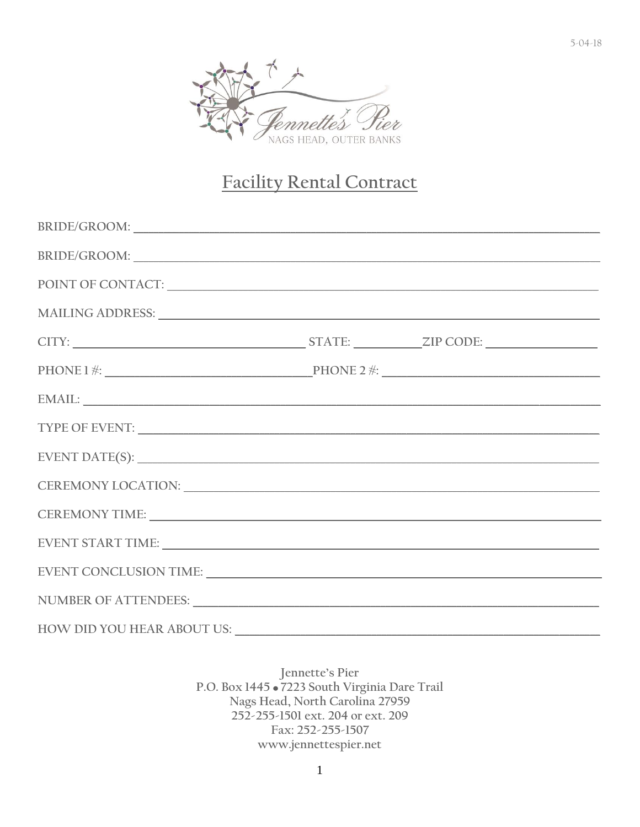

# Facility Rental Contract

| BRIDE/GROOM:                                                                                                                                                                                                                   |  |  |
|--------------------------------------------------------------------------------------------------------------------------------------------------------------------------------------------------------------------------------|--|--|
| POINT OF CONTACT: UNIVERSITY OF CONTACT OF CONTACT OF CONTACT OF CONTACT OF CONTACT OF CONTACT OF CONTACT OF CONTACT OF CONTACT OF CONTACT OF CONTACT OF CONTACT OF CONTACT OF CONTACT OF CONTACT OF CONTACT OF CONTACT OF CON |  |  |
| MAILING ADDRESS: LEADER AND AN ANN AN AIR AN AIR AN AIR AN AIR AN AIR AN AIR AN AIR AN AIR AN AIR AIR AN AIR A                                                                                                                 |  |  |
|                                                                                                                                                                                                                                |  |  |
| $PHONE 1$ *: $\underline{\hspace{1cm}}$ PHONE 2 *:                                                                                                                                                                             |  |  |
|                                                                                                                                                                                                                                |  |  |
| TYPE OF EVENT: NORTH CONTRACTED TO A SERIES OF EVENTS AND THE SERIES OF EVENTS.                                                                                                                                                |  |  |
|                                                                                                                                                                                                                                |  |  |
| CEREMONY LOCATION: UNIVERSITY OF A CONTROL CEREMONY LOCATION:                                                                                                                                                                  |  |  |
|                                                                                                                                                                                                                                |  |  |
|                                                                                                                                                                                                                                |  |  |
| EVENT CONCLUSION TIME: University of the contract of the contract of the contract of the contract of the contract of the contract of the contract of the contract of the contract of the contract of the contract of the contr |  |  |
| NUMBER OF ATTENDEES: University of ATTENDEES:                                                                                                                                                                                  |  |  |
| HOW DID YOU HEAR ABOUT US:                                                                                                                                                                                                     |  |  |

Jennette's Pier P.O. Box 1445 . 7223 South Virginia Dare Trail Nags Head, North Carolina 27959 252-255-1501 ext. 204 or ext. 209 Fax: 252-255-1507 www.jennettespier.net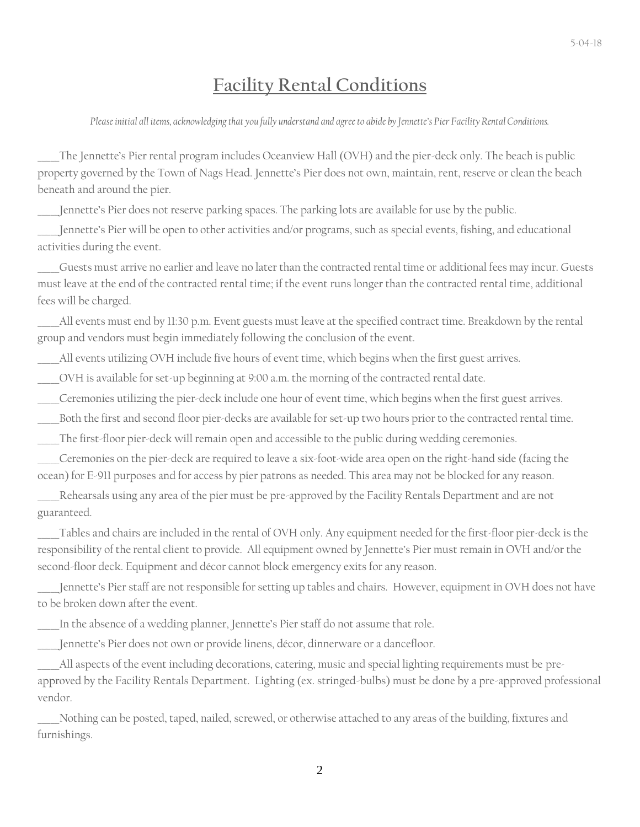### **Facility Rental Conditions**

*Please initial all items, acknowledging that you fully understand and agree to abide by Jennette's Pier Facility Rental Conditions.*

The Jennette's Pier rental program includes Oceanview Hall (OVH) and the pier-deck only. The beach is public property governed by the Town of Nags Head. Jennette's Pier does not own, maintain, rent, reserve or clean the beach beneath and around the pier.

Jennette's Pier does not reserve parking spaces. The parking lots are available for use by the public.

Jennette's Pier will be open to other activities and/or programs, such as special events, fishing, and educational activities during the event.

\_\_\_\_\_Guests must arrive no earlier and leave no later than the contracted rental time or additional fees may incur. Guests must leave at the end of the contracted rental time; if the event runs longer than the contracted rental time, additional fees will be charged.

All events must end by 11:30 p.m. Event guests must leave at the specified contract time. Breakdown by the rental group and vendors must begin immediately following the conclusion of the event.

All events utilizing OVH include five hours of event time, which begins when the first guest arrives.

\_\_\_\_\_OVH is available for set-up beginning at 9:00 a.m. the morning of the contracted rental date.

Ceremonies utilizing the pier-deck include one hour of event time, which begins when the first guest arrives.

Both the first and second floor pier-decks are available for set-up two hours prior to the contracted rental time.

\_\_\_\_\_The first-floor pier-deck will remain open and accessible to the public during wedding ceremonies.

\_\_\_\_\_Ceremonies on the pier-deck are required to leave a six-foot-wide area open on the right-hand side (facing the ocean) for E-911 purposes and for access by pier patrons as needed. This area may not be blocked for any reason.

Rehearsals using any area of the pier must be pre-approved by the Facility Rentals Department and are not guaranteed.

Tables and chairs are included in the rental of OVH only. Any equipment needed for the first-floor pier-deck is the responsibility of the rental client to provide. All equipment owned by Jennette's Pier must remain in OVH and/or the second-floor deck. Equipment and décor cannot block emergency exits for any reason.

\_\_\_\_\_Jennette's Pier staff are not responsible for setting up tables and chairs. However, equipment in OVH does not have to be broken down after the event.

In the absence of a wedding planner, Jennette's Pier staff do not assume that role.

Jennette's Pier does not own or provide linens, décor, dinnerware or a dancefloor.

All aspects of the event including decorations, catering, music and special lighting requirements must be preapproved by the Facility Rentals Department. Lighting (ex. stringed-bulbs) must be done by a pre-approved professional vendor.

Nothing can be posted, taped, nailed, screwed, or otherwise attached to any areas of the building, fixtures and furnishings.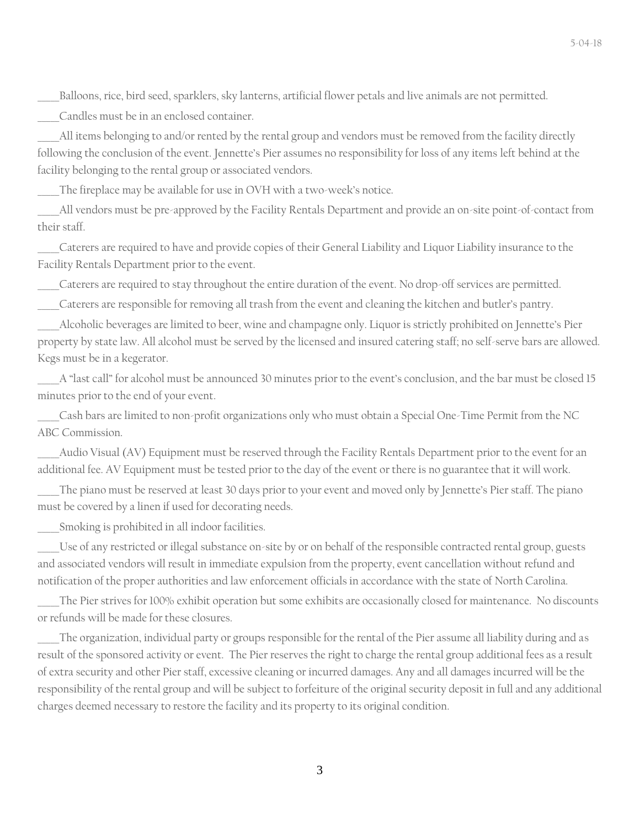\_\_\_\_\_Balloons, rice, bird seed, sparklers, sky lanterns, artificial flower petals and live animals are not permitted.

\_\_\_\_\_Candles must be in an enclosed container.

All items belonging to and/or rented by the rental group and vendors must be removed from the facility directly following the conclusion of the event. Jennette's Pier assumes no responsibility for loss of any items left behind at the facility belonging to the rental group or associated vendors.

The fireplace may be available for use in OVH with a two-week's notice.

All vendors must be pre-approved by the Facility Rentals Department and provide an on-site point-of-contact from their staff.

\_\_\_\_\_Caterers are required to have and provide copies of their General Liability and Liquor Liability insurance to the Facility Rentals Department prior to the event.

\_\_\_\_\_Caterers are required to stay throughout the entire duration of the event. No drop-off services are permitted.

Caterers are responsible for removing all trash from the event and cleaning the kitchen and butler's pantry.

\_\_\_\_\_Alcoholic beverages are limited to beer, wine and champagne only. Liquor is strictly prohibited on Jennette's Pier property by state law. All alcohol must be served by the licensed and insured catering staff; no self-serve bars are allowed. Kegs must be in a kegerator.

A "last call" for alcohol must be announced 30 minutes prior to the event's conclusion, and the bar must be closed 15 minutes prior to the end of your event.

Cash bars are limited to non-profit organizations only who must obtain a Special One-Time Permit from the NC ABC Commission.

Audio Visual (AV) Equipment must be reserved through the Facility Rentals Department prior to the event for an additional fee. AV Equipment must be tested prior to the day of the event or there is no guarantee that it will work.

The piano must be reserved at least 30 days prior to your event and moved only by Jennette's Pier staff. The piano must be covered by a linen if used for decorating needs.

Smoking is prohibited in all indoor facilities.

Use of any restricted or illegal substance on-site by or on behalf of the responsible contracted rental group, guests and associated vendors will result in immediate expulsion from the property, event cancellation without refund and notification of the proper authorities and law enforcement officials in accordance with the state of North Carolina.

The Pier strives for 100% exhibit operation but some exhibits are occasionally closed for maintenance. No discounts or refunds will be made for these closures.

The organization, individual party or groups responsible for the rental of the Pier assume all liability during and as result of the sponsored activity or event. The Pier reserves the right to charge the rental group additional fees as a result of extra security and other Pier staff, excessive cleaning or incurred damages. Any and all damages incurred will be the responsibility of the rental group and will be subject to forfeiture of the original security deposit in full and any additional charges deemed necessary to restore the facility and its property to its original condition.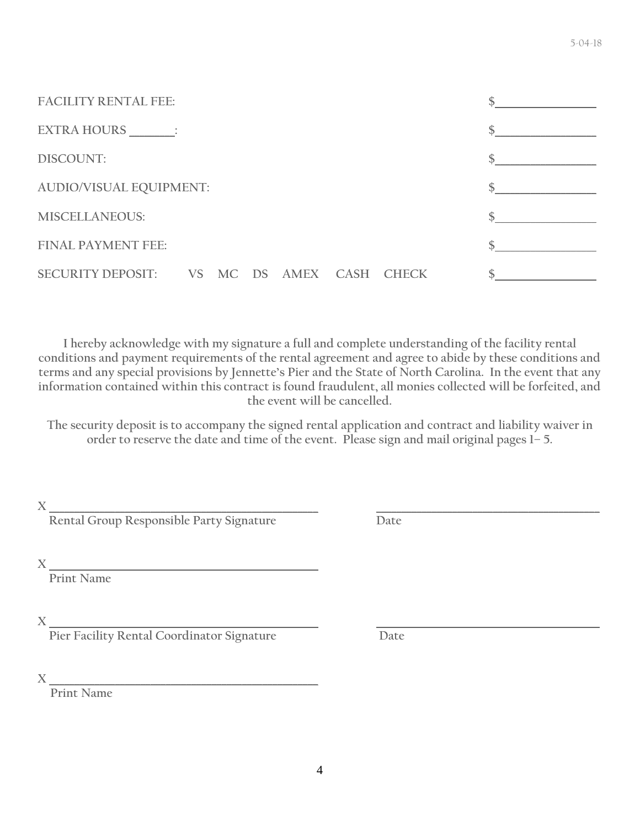| <b>FACILITY RENTAL FEE:</b>                |  |  |  |  |  |  |  |
|--------------------------------------------|--|--|--|--|--|--|--|
| EXTRA HOURS _______;                       |  |  |  |  |  |  |  |
| DISCOUNT:                                  |  |  |  |  |  |  |  |
| <b>AUDIO/VISUAL EQUIPMENT:</b>             |  |  |  |  |  |  |  |
| <b>MISCELLANEOUS:</b>                      |  |  |  |  |  |  |  |
| <b>FINAL PAYMENT FEE:</b>                  |  |  |  |  |  |  |  |
| SECURITY DEPOSIT: VS MC DS AMEX CASH CHECK |  |  |  |  |  |  |  |

**I hereby acknowledge with my signature a full and complete understanding of the facility rental conditions and payment requirements of the rental agreement and agree to abide by these conditions and terms and any special provisions by Jennette's Pier and the State of North Carolina. In the event that any information contained within this contract is found fraudulent, all monies collected will be forfeited, and the event will be cancelled.**

**The security deposit is to accompany the signed rental application and contract and liability waiver in order to reserve the date and time of the event. Please sign and mail original pages 1– 5.**

 $X \_\_$ 

 **Rental Group Responsible Party Signature Date**

**X \_\_\_\_\_\_\_\_\_\_\_\_\_\_\_\_\_\_\_\_\_\_\_\_\_\_\_\_\_\_\_\_\_\_\_\_\_\_\_\_\_\_\_\_\_\_\_\_\_\_\_\_\_**

 **Print Name**

**X \_\_\_\_\_\_\_\_\_\_\_\_\_\_\_\_\_\_\_\_\_\_\_\_\_\_\_\_\_\_\_\_\_\_\_\_\_\_\_\_\_\_\_\_\_\_\_\_\_\_\_\_\_ \_\_\_\_\_\_\_\_\_\_\_\_\_\_\_\_\_\_\_\_\_\_\_\_\_\_\_\_\_\_\_\_\_\_\_\_\_\_\_\_\_\_\_\_**

 **Pier Facility Rental Coordinator Signature Date**

**X \_\_\_\_\_\_\_\_\_\_\_\_\_\_\_\_\_\_\_\_\_\_\_\_\_\_\_\_\_\_\_\_\_\_\_\_\_\_\_\_\_\_\_\_\_\_\_\_\_\_\_\_\_**

**Print Name**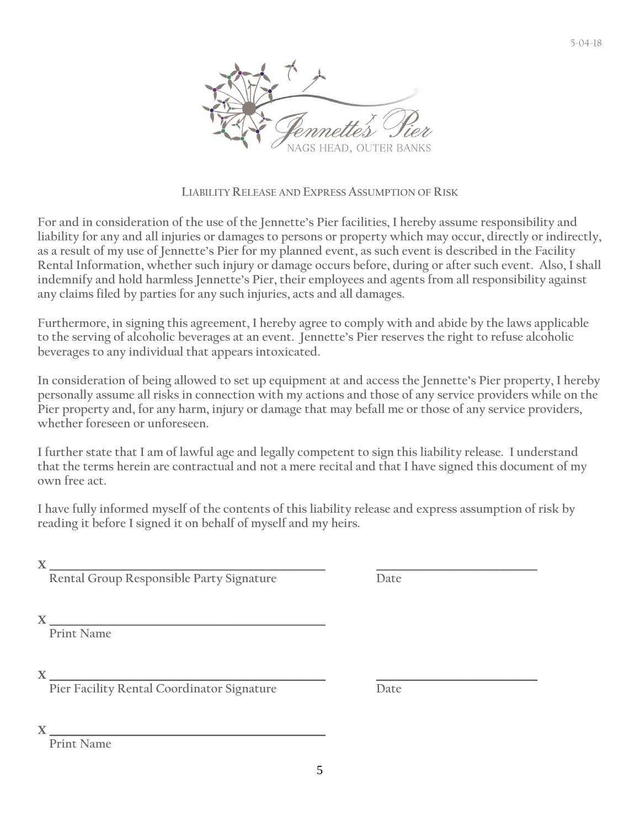

#### **LIABILITY RELEASE AND EXPRESS ASSUMPTION OF RISK**

**For and in consideration of the use of the Jennette's Pier facilities, I hereby assume responsibility and liability for any and all injuries or damages to persons or property which may occur, directly or indirectly, as a result of my use of Jennette's Pier for my planned event, as such event is described in the Facility Rental Information, whether such injury or damage occurs before, during or after such event. Also, I shall indemnify and hold harmless Jennette's Pier, their employees and agents from all responsibility against any claims filed by parties for any such injuries, acts and all damages.** 

**Furthermore, in signing this agreement, I hereby agree to comply with and abide by the laws applicable to the serving of alcoholic beverages at an event. Jennette's Pier reserves the right to refuse alcoholic beverages to any individual that appears intoxicated.** 

In consideration of being allowed to set up equipment at and access the Jennette's Pier property, I hereby **personally assume all risks in connection with my actions and those of any service providers while on the Pier property and, for any harm, injury or damage that may befall me or those of any service providers, whether foreseen or unforeseen.**

**I further state that I am of lawful age and legally competent to sign this liability release. I understand that the terms herein are contractual and not a mere recital and that I have signed this document of my own free act.**

**I have fully informed myself of the contents of this liability release and express assumption of risk by reading it before I signed it on behalf of myself and my heirs.**

 $X \_\_$ 

**Rental Group Responsible Party Signature Date**

 $X \_\_$ 

**Print Name**

 $X \_\_$ 

**Pier Facility Rental Coordinator Signature Date**

 $X \_\_$ 

**Print Name**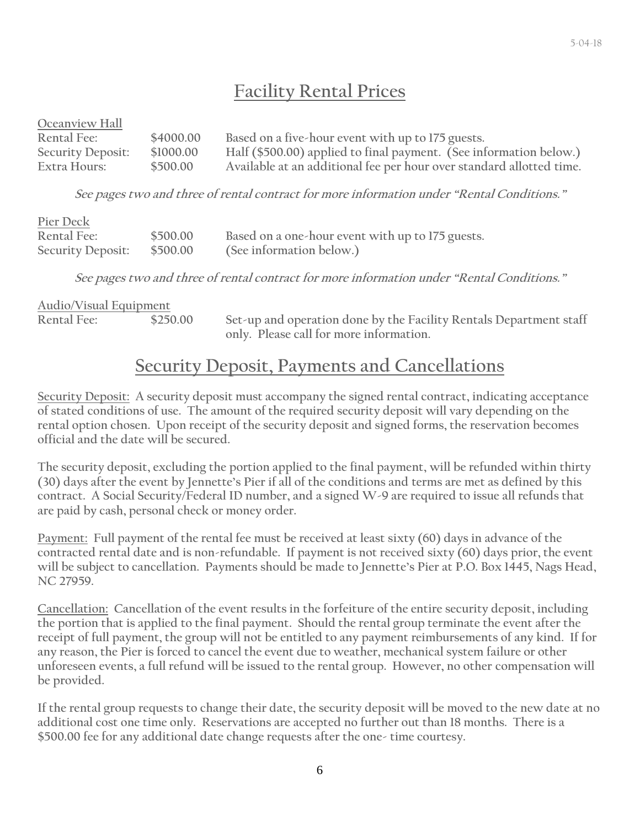### **Facility Rental Prices**

| Oceanview Hall           |           |                                                                      |
|--------------------------|-----------|----------------------------------------------------------------------|
| Rental Fee:              | \$4000.00 | Based on a five-hour event with up to 175 guests.                    |
| <b>Security Deposit:</b> | \$1000.00 | Half (\$500.00) applied to final payment. (See information below.)   |
| Extra Hours:             | \$500.00  | Available at an additional fee per hour over standard allotted time. |

**See pages two and three of rental contract for more information under "Rental Conditions."**

| Pier Deck         |          |                                                  |
|-------------------|----------|--------------------------------------------------|
| Rental Fee:       | \$500.00 | Based on a one-hour event with up to 175 guests. |
| Security Deposit: | \$500.00 | (See information below.)                         |

**See pages two and three of rental contract for more information under "Rental Conditions."**

| <b>Audio/Visual Equipment</b> |          |                                                                    |
|-------------------------------|----------|--------------------------------------------------------------------|
| <b>Rental Fee:</b>            | \$250.00 | Set-up and operation done by the Facility Rentals Department staff |
|                               |          | only. Please call for more information.                            |

### **Security Deposit, Payments and Cancellations**

**Security Deposit: A security deposit must accompany the signed rental contract, indicating acceptance of stated conditions of use. The amount of the required security deposit will vary depending on the rental option chosen. Upon receipt of the security deposit and signed forms, the reservation becomes official and the date will be secured.** 

**The security deposit, excluding the portion applied to the final payment, will be refunded within thirty (30) days after the event by Jennette's Pier if all of the conditions and terms are met as defined by this contract. A Social Security/Federal ID number, and a signed W-9 are required to issue all refunds that are paid by cash, personal check or money order.**

**Payment: Full payment of the rental fee must be received at least sixty (60) days in advance of the contracted rental date and is non-refundable. If payment is not received sixty (60) days prior, the event will be subject to cancellation. Payments should be made to Jennette's Pier at P.O. Box 1445, Nags Head, NC 27959.**

**Cancellation: Cancellation of the event results in the forfeiture of the entire security deposit, including the portion that is applied to the final payment. Should the rental group terminate the event after the receipt of full payment, the group will not be entitled to any payment reimbursements of any kind. If for any reason, the Pier is forced to cancel the event due to weather, mechanical system failure or other unforeseen events, a full refund will be issued to the rental group. However, no other compensation will be provided.**

**If the rental group requests to change their date, the security deposit will be moved to the new date at no additional cost one time only. Reservations are accepted no further out than 18 months. There is a \$500.00 fee for any additional date change requests after the one- time courtesy.**